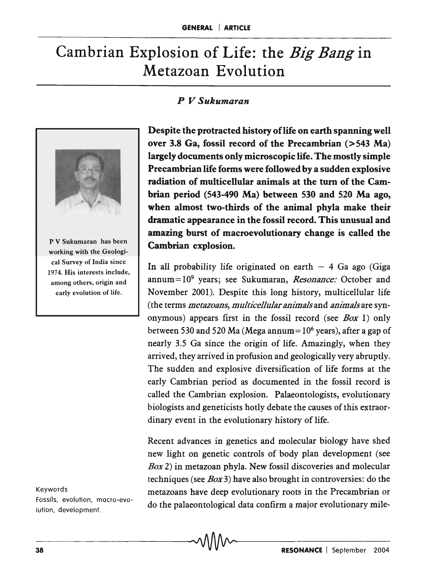# Cambrian Explosion of Life: the *Big Bang* in Metazoan Evolution

## *P V Sukumaran*



P V Sukumaran has been working with the Geological Survey of India since 1974. His interests include, among others, origin and early evolution of life.

Keywords Fossils, evolution, macro-evolution, development.

Despite the protracted history of life on earth spanning well over 3.8 Ga, fossil record of the Precambrian (>543 Ma) largely documents only microscopic life. The mostly simple Precambrian life forms were followed by a sudden explosive radiation of multicellular animals at the tum of the Cambrian period (543-490 Ma) between 530 and 520 Ma ago, when almost two-thirds of the animal phyla make their dramatic appearance in the fossil record. This unusual and amazing burst of macroevolutionary change is called the Cambrian explosion.

In all probability life originated on earth  $\sim$  4 Ga ago (Giga annum = 109 years; see Sukumaran, *Resonance:* October and November 2001). Despite this long history, multicellular life (the terms *metazoans, multicellular animals* and *animals* are synonymous) appears first in the fossil record (see *Box* 1) only between 530 and 520 Ma (Mega annum=  $10^6$  years), after a gap of nearly 3.5 Ga since the origin of life. Amazingly, when they arrived, they arrived in profusion and geologically very abruptly. The sudden and explosive diversification of life forms at the early Cambrian period as documented in the fossil record is called the Cambrian explosion. Palaeontologists, evolutionary biologists and geneticists hotly debate the causes of this extraordinary event in the evolutionary history of life.

Recent advances in genetics and molecular biology have shed new light on genetic controls of body plan development (see *Box* 2) in metazoan phyla. New fossil discoveries and molecular techniques (see *Box3)* have also brought in controversies: do the metazoans have deep evolutionary roots in the Precambrian or do the palaeontological data confirm a major evolutionary mile-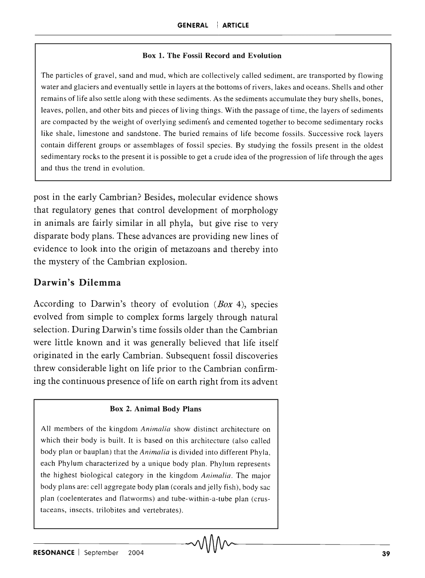#### Box 1. The Fossil Record and Evolution

The particles of gravel, sand and mud, which are collectively called sediment, are transported by flowing water and glaciers and eventually settle in layers at the bottoms of rivers, lakes and oceans. Shells and other remains of life also settle along with these sediments. As the sediments accumulate they bury shells, bones, leaves, pollen, and other bits and pieces of living things. With the passage of time, the layers of sediments are compacted by the weight of overlying sediments and cemented together to become sedimentary rocks like shale, limestone and sandstone. The buried remains of life become fossils. Successive rock layers contain different groups or assemblages of fossil species. By studying the fossils present in the oldest sedimentary rocks to the present it is possible to get a crude idea of the progression of life through the ages and thus the trend in evolution.

post in the early Cambrian? Besides, molecular evidence shows that regulatory genes that control development of morphology in animals are fairly similar in all phyla, but give rise to very disparate body plans. These advances are providing new lines of evidence to look into the origin of metazoans and thereby into the mystery of the Cambrian explosion.

## Darwin's Dilemma

According to Darwin's theory of evolution  $(Box 4)$ , species evolved from simple to complex forms largely through natural selection. During Darwin's time fossils older than the Cambrian were little known and it was generally believed that life itself originated in the early Cambrian. Subsequent fossil discoveries threw considerable light on life prior to the Cambrian confirming the continuous presence of life on earth right from its advent

#### Box 2. Animal Body Plans

All members of the kingdom *Animalia* show distinct architecture on which their body is built. It is based on this architecture (also called body plan or bauplan) that the *Animalia* is divided into different Phyla, each Phylum characterized by a unique body plan. Phylum represents the highest biological category in the kingdom *Animalia.* The major body plans are: cell aggregate body plan (corals and jelly fish), body sac plan (coelenterates and flatworms) and tube-within-a-tube plan (crustaceans, insects, trilobites and vertebrates).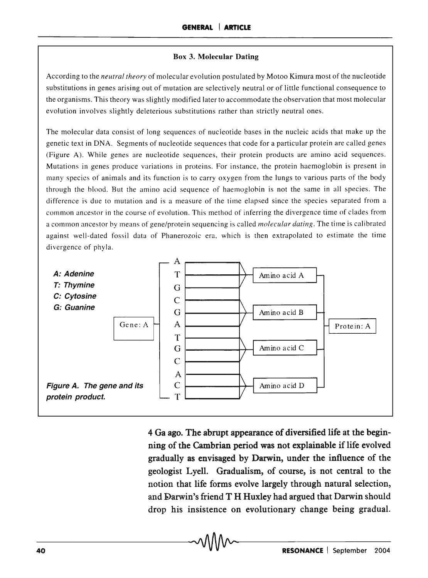#### **Box 3. Molecular Dating**

According to the *neutral theory* of molecular evolution postulated by Motoo Kimura most of the nucleotide substitutions in genes arising out of mutation are selectively neutral or of little functional consequence to the organisms. This theory was slightly modified later to accommodate the observation that most molecular evolution involves slightly deleterious substitutions rather than strictly neutral ones.

The molecular data consist of long sequences of nucleotide bases in the nucleic acids that make up the genetic text in DNA. Segments of nucleotide sequences that code for a particular protein are called genes (Figure A). While genes are nucleotide sequences, their protein products are amino acid sequences. Mutations in genes produce variations in proteins. For instance, the protein haemoglobin is present in many species of animals and its function is to carry oxygen from the lungs to various parts of the body through the blood. But the amino acid sequence of haemoglobin is not the same in all species. The difference is due to mutation and is a measure of the time elapsed since the species separated from a common ancestor in the course of evolution. This method of inferring the divergence time of clades from a common ancestor by means of gene/protein sequencing is called *molecular dating.* The time is calibrated against well-dated fossil data of Phanerozoic era, which is then extrapolated to estimate the time divergence of phyla.



**4 Ga ago. The abrupt appearance of diversified life at the beginning of the Cambrian period was not explainable if life evolved gradually as envisaged by Darwin, under the influence of the geologist Lyell. Gradualism, of course, is not central to the notion that life forms evolve largely through natural selection,**  and Darwin's friend T H Huxley had argued that Darwin should **drop his insistence on evolutionary change being gradual.**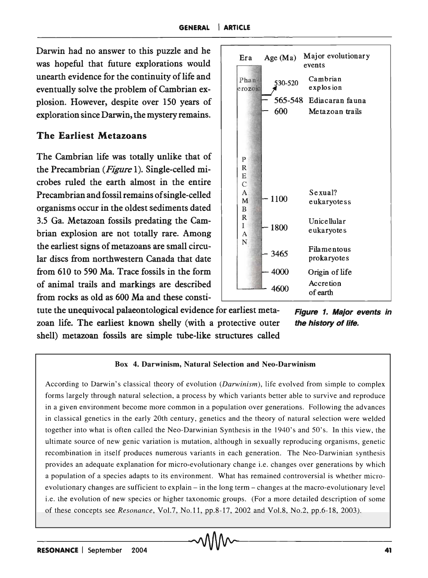Darwin had no answer to this puzzle and he was hopeful that future explorations would unearth evidence for the continuity of life and eventually solve the problem of Cambrian explosion. However, despite over 150 years of exploration since Darwin, the mystery remains.

## The Earliest Metazoans

The Cambrian life was totally unlike that of the Precambrian *(Figure* 1). Single-celled microbes ruled the earth almost in the entire Precambrian and fossil remains of single-celled organisms occur in the oldest sediments dated 3.5 Ga. Metazoan fossils predating the Cambrian explosion are not totally rare. Among the earliest signs of metazoans are small circular discs from northwestern Canada that date from 610 to 590 Ma. Trace fossils in the form of animal trails and markings are described from rocks as old as 600 Ma and these consti-



tute the unequivocal palaeontological evidence for earliest metazoan life. The earliest known shelly (with a protective outer shell) metazoan fossils are simple tube-like structures called

Figure 1. Major events in the history of life.

#### Box 4. Darwinism, Natural Selection and Neo-Darwinism

According to Darwin's classical theory of evolution *(Danvinism),* life evolved from simple to complex forms largely through natural selection, a process by which variants better able to survive and reproduce in a given environment become more common in a population over generations. Following the advances in classical genetics in the early 20th century, genetics and the theory of natural selection were welded together into what is often called the Neo-Darwinian Synthesis in the 1940's and 50's. In this view, the ultimate source of new genic variation is mutation, although in sexually reproducing organisms, genetic recombination in itself produces numerous variants in each generation. The Neo-Darwinian synthesis provides an adequate explanation for micro-evolutionary change i.e. changes over generations by which a population of a species adapts to its environment. What has remained controversial is whether microevolutionary changes are sufficient to explain - in the long term - changes at the macro-evolutionary level i.e. the evolution of new species or higher taxonomic groups. (For a more detailed description of some of these concepts see *Resonance,* Vol.7, No.II, pp.8-I7, 2002 and Vol.8, No.2, pp.6-18, 2003).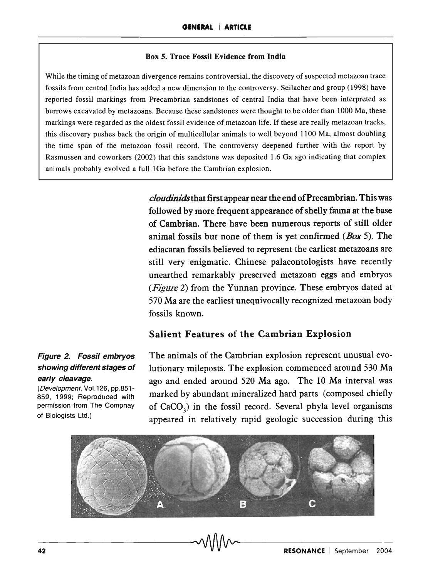#### Box 5. Trace Fossil Evidence from India

While the timing of metazoan divergence remains controversial, the discovery of suspected metazoan trace fossils from central India has added a new dimension to the controversy. Seilacher and group (1998) have reported fossil markings from Precambrian sandstones of central India that have been interpreted as burrows excavated by metazoans. Because these sandstones were thought to be older than 1000 Ma, these markings were regarded as the oldest fossil evidence of metazoan life. If these are really metazoan tracks, this discovery pushes back the origin of multicellular animals to well beyond 1100 Ma, almost doubling the time span of the metazoan fossil record. The controversy deepened further with the report by Rasmussen and coworkers (2002) that this sandstone was deposited 1.6 Ga ago indicating that complex animals probably evolved a full lGa before the Cambrian explosion.

> *cloudinidsthat* first appear near the end of Precambrian. This was followed by more frequent appearance of shelly fauna at the base of Cambrian. There have been numerous reports of still older animal fossils but none of them is yet confirmed  $(Box 5)$ . The ediacaran fossils believed to represent the earliest metazoans are still very enigmatic. Chinese palaeontologists have recently unearthed remarkably preserved metazoan eggs and embryos *(Figure* 2) from the Yunnan province. These embryos dated at 570 Ma are the earliest unequivocally recognized metazoan body fossils known.

#### Salient Features of the Cambrian Explosion

#### Figure 2. Fossil embryos showing different stages of early cleavage.

(Development, Vo1.126, pp.851- 859, 1999; Reproduced with permission from The Compnay of Biologists Ltd.)

The animals of the Cambrian explosion represent unusual evolutionary mileposts. The explosion commenced around 530 Ma ago and ended around 520 Ma ago. The 10 Ma interval was marked by abundant mineralized hard parts (composed chiefly of  $CaCO<sub>3</sub>$ ) in the fossil record. Several phyla level organisms appeared in relatively rapid geologic succession during this

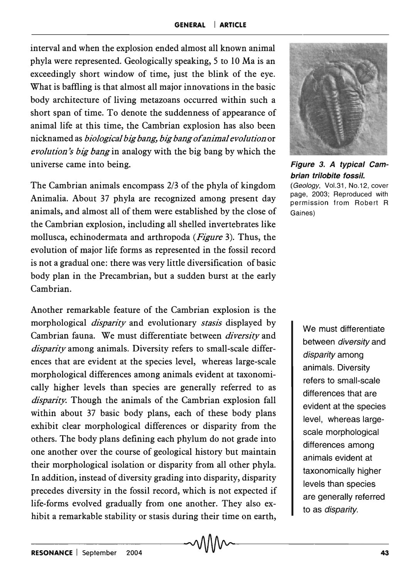interval and when the explosion ended almost all known animal phyla were represented. Geologically speaking, 5 to 10 Ma is an exceedingly short window of time, just the blink of the eye. What is baffling is that almost all major innovations in the basic body architecture of living metazoans occurred within such a short span of time. To denote the suddenness of appearance of animal life at this time, the Cambrian explosion has also been nicknamed as *biological big ban& big bang of animal evolution* or *evolution's big bang* in analogy with the big bang by which the universe came into being.

The Cambrian animals encompass 2/3 of the phyla of kingdom Animalia. About 37 phyla are recognized among present day animals, and almost all of them were established by the close of the Cambrian explosion, including all shelled invertebrates like mollusca, echinodermata and arthropoda *(Figure* 3). Thus, the evolution of major life forms as represented in the fossil record is not a gradual one: there was very little diversification of basic body plan in the Precambrian, but a sudden burst at the early Cambrian.

Another remarkable feature of the Cambrian explosion is the morphological *disparity* and evolutionary *stasis* displayed by Cambrian fauna. We must differentiate between *diversity* and *disparity* among animals. Diversity refers to small-scale differences that are evident at the species level, whereas large-scale morphological differences among animals evident at taxonomically higher levels than species are generally referred to as *disparity.* Though the animals of the Cambrian explosion fall within about 37 basic body plans, each of these body plans exhibit clear morphological differences or disparity from the others. The body plans defining each phylum do not grade into one another over the course of geological history but maintain their morphological isolation or disparity from all other phyla. In addition, instead of diversity grading into disparity, disparity precedes diversity in the fossil record, which is not expected if life-forms evolved gradually from one another. They also exhibit a remarkable stability or stasis during their time on earth, \_\_\_\_\_\_\_\_ ~AAflAA~ \_\_\_\_\_\_ \_\_ **RESONANCE** I September 2004 ~v V V V V v~ <sup>43</sup>



Figure 3. A typical Cambrian trilobite fossil.

(Geology, Vol.31, No.12, cover page, 2003; Reproduced with permission from Robert R Gaines)

> We must differentiate between diversity and disparity among animals. Diversity refers to small-scale differences that are evident at the species level, whereas largescale morphological differences among animals evident at taxonomically higher levels than species are generally referred to as disparity.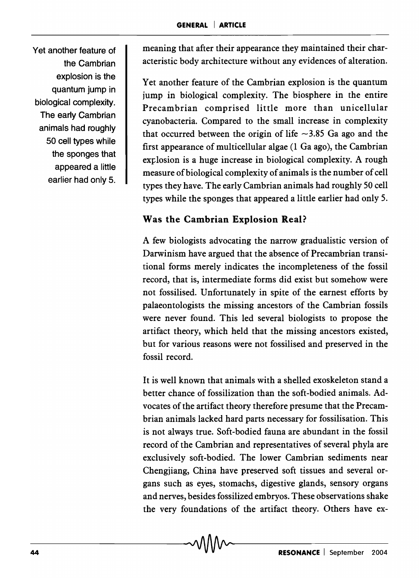Yet another feature of the Cambrian explosion is the quantum jump in biological complexity. The early Cambrian animals had roughly 50 cell types while the sponges that appeared a little earlier had only 5. meaning that after their appearance they maintained their characteristic body architecture without any evidences of alteration.

Yet another feature of the Cambrian explosion is the quantum jump in biological complexity. The biosphere in the entire Precambrian comprised little more than unicellular cyanobacteria. Compared to the small increase in complexity that occurred between the origin of life  $\sim$ 3.85 Ga ago and the first appearance of multicellular algae (l Ga ago), the Cambrian explosion is a huge increase in biological complexity. A rough measure of biological complexity of animals is the number of cell types they have. The early Cambrian animals had roughly 50 cell types while the sponges that appeared a little earlier had only 5.

# Was the Cambrian Explosion Real?

A few biologists advocating the narrow gradualistic version of Darwinism have argued that the absence of Precambrian transitional forms merely indicates the incompleteness of the fossil record, that is, intermediate forms did exist but somehow were not fossilised. Unfortunately in spite of the earnest efforts by palaeontologists the missing ancestors of the Cambrian fossils were never found. This led several biologists to propose the artifact theory, which held that the missing ancestors existed, but for various reasons were not fossilised and preserved in the fossil record.

It is well known that animals with a shelled exoskeleton stand a better chance of fossilization than the soft-bodied animals. Advocates of the artifact theory therefore presume that the Precambrian animals lacked hard parts necessary for fossilisation. This is not always true. Soft-bodied fauna are abundant in the fossil record of the Cambrian and representatives of several phyla are exclusively soft-bodied. The lower Cambrian sediments near Chengjiang, China have preserved soft tissues and several organs such as eyes, stomachs, digestive glands, sensory organs and nerves, besides fossilized embryos. These observations shake the very foundations of the artifact theory. Others have ex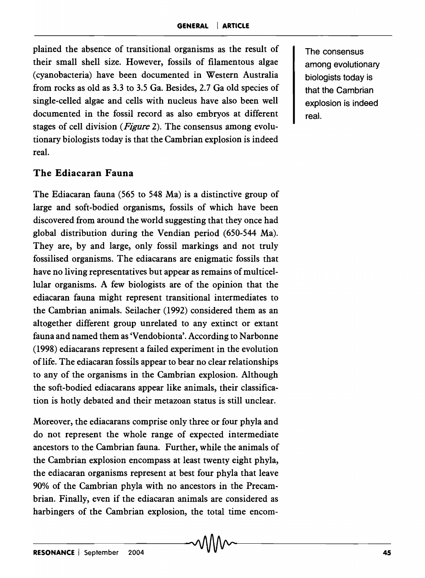plained the absence of transitional organisms as the result of their small shell size. However, fossils of filamentous algae (cyanobacteria) have been documented in Western Australia from rocks as old as 3.3 to 3.5 Ga. Besides, 2.7 Ga old species of single-celled algae and cells with nucleus have also been well documented in the fossil record as also embryos at different stages of cell division *(Figure* 2). The consensus among evolutionary biologists today is that the Cambrian explosion is indeed real.

## **The Ediacaran Fauna**

The Ediacaran fauna (565 to 548 Ma) is a distinctive group of large and soft-bodied organisms, fossils of which have been discovered from around the world suggesting that they once had global distribution during the Vendian period (650-544 Ma). They are, by and large, only fossil markings and not truly fossilised organisms. The ediacarans are enigmatic fossils that have no living representatives but appear as remains of multicellular organisms. A few biologists are of the opinion that the ediacaran fauna might represent transitional intermediates to the Cambrian animals. Seilacher (1992) considered them as an altogether different group unrelated to any extinct or extant fauna and named them as 'Vendobionta'. According to Narbonne (1998) ediacarans represent a failed experiment in the evolution oflife. The ediacaran fossils appear to bear no clear relationships to any of the organisms in the Cambrian explosion. Although the soft-bodied ediacarans appear like animals, their classification is hotly debated and their metazoan status is still unclear.

Moreover, the ediacarans comprise only three or four phyla and do not represent the whole range of expected intermediate ancestors to the Cambrian fauna. Further, while the animals of the Cambrian explosion encompass at least twenty eight phyla, the ediacaran organisms represent at best four phyla that leave 90% of the Cambrian phyla with no ancestors in the Precambrian. Finally, even if the ediacaran animals are considered as harbingers of the Cambrian explosion, the total time encomThe consensus among evolutionary biologists today is that the Cambrian explosion is indeed real.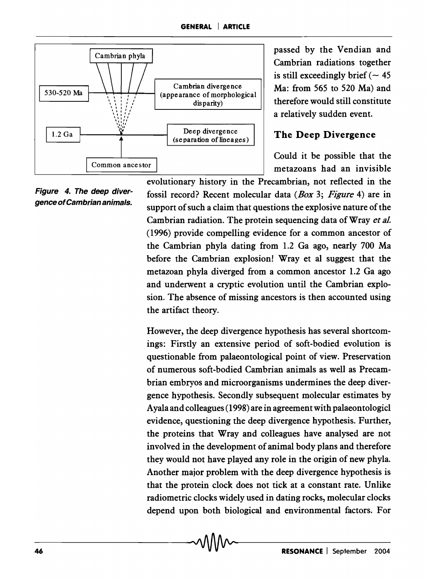

passed by the Vendian and Cambrian radiations together is still exceedingly brief  $(-45)$ Ma: from 565 to 520 Ma) and therefore would still constitute a relatively sudden event.

## The Deep Divergence

Could it be possible that the

Figure 4. The deep divergence of Cambrian animals.

evolutionary history in the Precambrian, not reflected in the fossil record? Recent molecular data *(Box* 3; *Figure* 4) are in support of such a claim that questions the explosive nature of the Cambrian radiation. The protein sequencing data of Wray *et aL*  (1996) provide compelling evidence for a common ancestor of the Cambrian phyla dating from 1.2 Ga ago, nearly 700 Ma before the Cambrian explosion! Wray et al suggest that the metazoan phyla diverged from a common ancestor 1.2 Ga ago and underwent a cryptic evolution until the Cambrian explosion. The absence of missing ancestors is then accounted using the artifact theory.

However, the deep divergence hypothesis has several shortcomings: Firstly an extensive period of soft-bodied evolution is questionable from palaeontological point of view. Preservation of numerous soft-bodied Cambrian animals as well as Precambrian embryos and microorganisms undermines the deep divergence hypothesis. Secondly subsequent molecular estimates by Ayala and colleagues (1998) are in agreement with palaeontologicl evidence, questioning the deep divergence hypothesis. Further, the proteins that Wray and colleagues have analysed are not involved in the development of animal body plans and therefore they would not have played any role in the origin of new phyla. Another major problem with the deep divergence hypothesis is that the protein clock does not tick at a constant rate. Unlike radiometric clocks widely used in dating rocks, molecular clocks depend upon both biological and environmental factors. For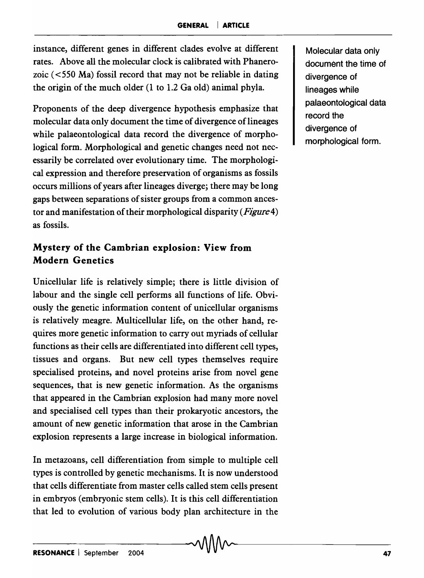instance, different genes in different clades evolve at different rates. Above all the molecular clock is calibrated with Phanerozoic  $(<550$  Ma) fossil record that may not be reliable in dating the origin of the much older (1 to 1.2 Ga old) animal phyla.

Proponents of the deep divergence hypothesis emphasize that molecular data only document the time of divergence of lineages while palaeontological data record the divergence of morphological form. Morphological and genetic changes need not necessarily be correlated over evolutionary time. The morphological expression and therefore preservation of organisms as fossils occurs millions of years after lineages diverge; there may be long gaps between separations of sister groups from a common ancestor and manifestation of their morphological disparity *(Figure4)*  as fossils.

# **Mystery of the Cambrian explosion: View from Modern Genetics**

Unicellular life is relatively simple; there is little division of labour and the single cell performs all functions of life. Obviously the genetic information content of unicellular organisms is relatively meagre. Multicellular life, on the other hand, requires more genetic information to carry out myriads of cellular functions as their cells are differentiated into different cell types, tissues and organs. But new cell types themselves require specialised proteins, and novel proteins arise from novel gene sequences, that is new genetic information. As the organisms that appeared in the Cambrian explosion had many more novel and specialised cell types than their prokaryotic ancestors, the amount of new genetic information that arose in the Cambrian explosion represents a large increase in biological information.

In metazoans, cell differentiation from simple to multiple cell types is controlled by genetic mechanisms. It is now understood that cells differentiate from master cells called stem cells present in embryos (embryonic stem cells). It is this cell differentiation that led to evolution of various body plan architecture in the

Molecular data only document the time of divergence of lineages while palaeontological data record the divergence of morphological form.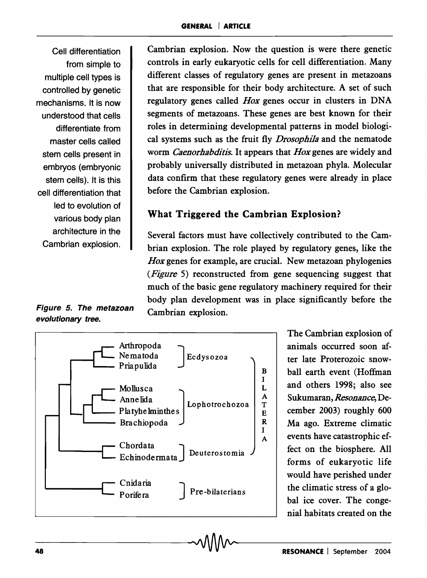Cell differentiation from simple to multiple cell types is controlled by genetic mechanisms. It is now understood that cells differentiate from master cells called stem cells present in embryos (embryonic stem cells). It is this cell differentiation that led to evolution of various body plan architecture in the Cambrian explosion.

Cambrian explosion. Now the question is were there genetic controls in early eukaryotic cells for cell differentiation. Many different classes of regulatory genes are present in metazoans that are responsible for their body architecture. A set of such regulatory genes called *Hox* genes occur in clusters in DNA segments of metazoans. These genes are best known for their roles in determining developmental patterns in model biological systems such as the fruit fly *Drosophl1a* and the nematode worm *Caenorhabditis.* It appears that *Hox* genes are widely and probably universally distributed in metazoan phyla. Molecular data confirm that these regulatory genes were already in place before the Cambrian explosion.

# What Triggered the Cambrian Explosion?

Several factors must have collectively contributed to the Cambrian explosion. The role played by regulatory genes, like the *Hox* genes for example, are crucial. New metazoan phylogenies *(Figure* 5) reconstructed from gene sequencing suggest that much of the basic gene regulatory machinery required for their body plan development was in place significantly before the Cambrian explosion.



The Cambrian explosion of animals occurred soon after late Proterozoic snowball earth event (Hoffman and others 1998; also see Sukumaran, *Resonance,* December 2003) roughly 600 Ma ago. Extreme climatic events have catastrophic effect on the biosphere. All forms of eukaryotic life would have perished under the climatic stress of a global ice cover. The congenial habitats created on the

## Figure 5. The metazoan evolutionary tree.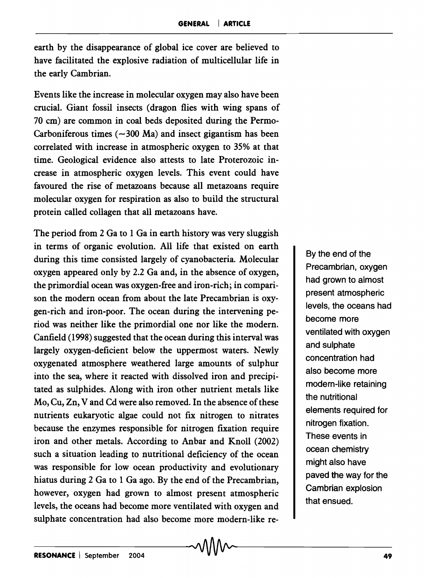earth by the disappearance of global ice cover are believed to have facilitated the explosive radiation of multicellular life in the early Cambrian.

Events like the increase in molecular oxygen may also have been crucial. Giant fossil insects (dragon flies with wing spans of 70 cm) are common in coal beds deposited during the Permo-Carboniferous times  $(-300 \text{ Ma})$  and insect gigantism has been correlated with increase in atmospheric oxygen to 35% at that time. Geological evidence also attests to late Proterozoic increase in atmospheric oxygen levels. This event could have favoured the rise of metazoans because all metazoans require molecular oxygen for respiration as also to build the structural protein called collagen that all metazoans have.

The period from 2 Ga to 1 Ga in earth history was very sluggish in terms of organic evolution. All life that existed on earth during this time consisted largely of cyanobacteria. Molecular oxygen appeared only by 2.2 Ga and, in the absence of oxygen, the primordial ocean was oxygen-free and iron-rich; in comparison the modern ocean from about the late Precambrian is oxygen-rich and iron-poor. The ocean during the intervening period was neither like the primordial one nor like the modern. Canfield (1998) suggested that the ocean during this interval was largely oxygen-deficient below the uppermost waters. Newly oxygenated atmosphere weathered large amounts of sulphur into the sea, where it reacted with dissolved iron and precipitated as sulphides. Along with iron other nutrient metals like Mo, Cu, Zn, V and Cd were also removed. In the absence of these nutrients eukaryotic algae could not fix nitrogen to nitrates because the enzymes responsible for nitrogen fixation require iron and other metals. According to Anbar and Knoll (2002) such a situation leading to nutritional deficiency of the ocean was responsible for low ocean productivity and evolutionary hiatus during 2 Ga to 1 Ga ago. By the end of the Precambrian, however, oxygen had grown to almost present atmospheric levels, the oceans had become more ventilated with oxygen and sulphate concentration had also become more modern-like re-

By the end of the Precambrian, oxygen had grown to almost present atmospheric levels, the oceans had become more ventilated with oxygen and sulphate concentration had also become more modern-like retaining the nutritional elements required for nitrogen fixation. These events in ocean chemistry might also have paved the way for the Cambrian explosion that ensued.